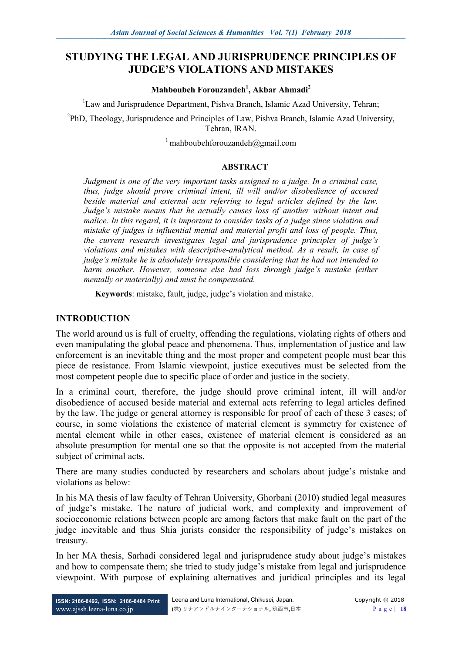# **STUDYING THE LEGAL AND JURISPRUDENCE PRINCIPLES OF JUDGE'S VIOLATIONS AND MISTAKES**

#### **Mahboubeh Forouzandeh<sup>1</sup> , Akbar Ahmadi<sup>2</sup>**

<sup>1</sup>Law and Jurisprudence Department, Pishva Branch, Islamic Azad University, Tehran;

<sup>2</sup>PhD, Theology, Jurisprudence and Principles of Law, Pishva Branch, Islamic Azad University, Tehran, IRAN.

 $1$  mahboubehforouzandeh $@$ gmail.com

#### **ABSTRACT**

*Judgment is one of the very important tasks assigned to a judge. In a criminal case, thus, judge should prove criminal intent, ill will and/or disobedience of accused beside material and external acts referring to legal articles defined by the law. Judge's mistake means that he actually causes loss of another without intent and malice. In this regard, it is important to consider tasks of a judge since violation and mistake of judges is influential mental and material profit and loss of people. Thus, the current research investigates legal and jurisprudence principles of judge's violations and mistakes with descriptive-analytical method. As a result, in case of judge's mistake he is absolutely irresponsible considering that he had not intended to harm another. However, someone else had loss through judge's mistake (either mentally or materially) and must be compensated.* 

**Keywords**: mistake, fault, judge, judge's violation and mistake.

### **INTRODUCTION**

The world around us is full of cruelty, offending the regulations, violating rights of others and even manipulating the global peace and phenomena. Thus, implementation of justice and law enforcement is an inevitable thing and the most proper and competent people must bear this piece de resistance. From Islamic viewpoint, justice executives must be selected from the most competent people due to specific place of order and justice in the society.

In a criminal court, therefore, the judge should prove criminal intent, ill will and/or disobedience of accused beside material and external acts referring to legal articles defined by the law. The judge or general attorney is responsible for proof of each of these 3 cases; of course, in some violations the existence of material element is symmetry for existence of mental element while in other cases, existence of material element is considered as an absolute presumption for mental one so that the opposite is not accepted from the material subject of criminal acts.

There are many studies conducted by researchers and scholars about judge's mistake and violations as below:

In his MA thesis of law faculty of Tehran University, Ghorbani (2010) studied legal measures of judge's mistake. The nature of judicial work, and complexity and improvement of socioeconomic relations between people are among factors that make fault on the part of the judge inevitable and thus Shia jurists consider the responsibility of judge's mistakes on treasury.

In her MA thesis, Sarhadi considered legal and jurisprudence study about judge's mistakes and how to compensate them; she tried to study judge's mistake from legal and jurisprudence viewpoint. With purpose of explaining alternatives and juridical principles and its legal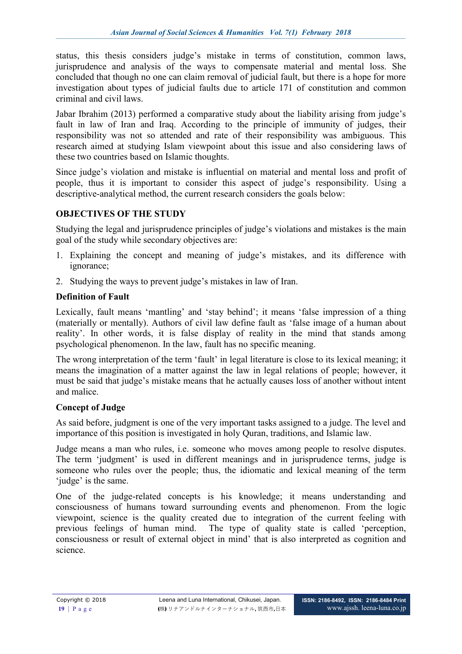status, this thesis considers judge's mistake in terms of constitution, common laws, jurisprudence and analysis of the ways to compensate material and mental loss. She concluded that though no one can claim removal of judicial fault, but there is a hope for more investigation about types of judicial faults due to article 171 of constitution and common criminal and civil laws.

Jabar Ibrahim (2013) performed a comparative study about the liability arising from judge's fault in law of Iran and Iraq. According to the principle of immunity of judges, their responsibility was not so attended and rate of their responsibility was ambiguous. This research aimed at studying Islam viewpoint about this issue and also considering laws of these two countries based on Islamic thoughts.

Since judge's violation and mistake is influential on material and mental loss and profit of people, thus it is important to consider this aspect of judge's responsibility. Using a descriptive-analytical method, the current research considers the goals below:

# **OBJECTIVES OF THE STUDY**

Studying the legal and jurisprudence principles of judge's violations and mistakes is the main goal of the study while secondary objectives are:

- 1. Explaining the concept and meaning of judge's mistakes, and its difference with ignorance;
- 2. Studying the ways to prevent judge's mistakes in law of Iran.

# **Definition of Fault**

Lexically, fault means 'mantling' and 'stay behind'; it means 'false impression of a thing (materially or mentally). Authors of civil law define fault as 'false image of a human about reality'. In other words, it is false display of reality in the mind that stands among psychological phenomenon. In the law, fault has no specific meaning.

The wrong interpretation of the term 'fault' in legal literature is close to its lexical meaning; it means the imagination of a matter against the law in legal relations of people; however, it must be said that judge's mistake means that he actually causes loss of another without intent and malice.

# **Concept of Judge**

As said before, judgment is one of the very important tasks assigned to a judge. The level and importance of this position is investigated in holy Quran, traditions, and Islamic law.

Judge means a man who rules, i.e. someone who moves among people to resolve disputes. The term 'judgment' is used in different meanings and in jurisprudence terms, judge is someone who rules over the people; thus, the idiomatic and lexical meaning of the term 'iudge' is the same.

One of the judge-related concepts is his knowledge; it means understanding and consciousness of humans toward surrounding events and phenomenon. From the logic viewpoint, science is the quality created due to integration of the current feeling with previous feelings of human mind. The type of quality state is called 'perception, consciousness or result of external object in mind' that is also interpreted as cognition and science.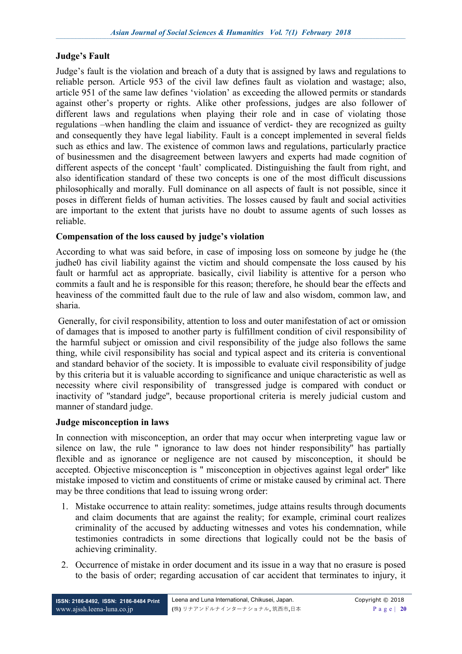## **Judge's Fault**

Judge's fault is the violation and breach of a duty that is assigned by laws and regulations to reliable person. Article 953 of the civil law defines fault as violation and wastage; also, article 951 of the same law defines 'violation' as exceeding the allowed permits or standards against other's property or rights. Alike other professions, judges are also follower of different laws and regulations when playing their role and in case of violating those regulations –when handling the claim and issuance of verdict- they are recognized as guilty and consequently they have legal liability. Fault is a concept implemented in several fields such as ethics and law. The existence of common laws and regulations, particularly practice of businessmen and the disagreement between lawyers and experts had made cognition of different aspects of the concept 'fault' complicated. Distinguishing the fault from right, and also identification standard of these two concepts is one of the most difficult discussions philosophically and morally. Full dominance on all aspects of fault is not possible, since it poses in different fields of human activities. The losses caused by fault and social activities are important to the extent that jurists have no doubt to assume agents of such losses as reliable.

# **Compensation of the loss caused by judge's violation**

According to what was said before, in case of imposing loss on someone by judge he (the judhe0 has civil liability against the victim and should compensate the loss caused by his fault or harmful act as appropriate. basically, civil liability is attentive for a person who commits a fault and he is responsible for this reason; therefore, he should bear the effects and heaviness of the committed fault due to the rule of law and also wisdom, common law, and sharia.

Generally, for civil responsibility, attention to loss and outer manifestation of act or omission of damages that is imposed to another party is fulfillment condition of civil responsibility of the harmful subject or omission and civil responsibility of the judge also follows the same thing, while civil responsibility has social and typical aspect and its criteria is conventional and standard behavior of the society. It is impossible to evaluate civil responsibility of judge by this criteria but it is valuable according to significance and unique characteristic as well as necessity where civil responsibility of transgressed judge is compared with conduct or inactivity of ''standard judge'', because proportional criteria is merely judicial custom and manner of standard judge.

### **Judge misconception in laws**

In connection with misconception, an order that may occur when interpreting vague law or silence on law, the rule '' ignorance to law does not hinder responsibility'' has partially flexible and as ignorance or negligence are not caused by misconception, it should be accepted. Objective misconception is '' misconception in objectives against legal order'' like mistake imposed to victim and constituents of crime or mistake caused by criminal act. There may be three conditions that lead to issuing wrong order:

- 1. Mistake occurrence to attain reality: sometimes, judge attains results through documents and claim documents that are against the reality; for example, criminal court realizes criminality of the accused by adducting witnesses and votes his condemnation, while testimonies contradicts in some directions that logically could not be the basis of achieving criminality.
- 2. Occurrence of mistake in order document and its issue in a way that no erasure is posed to the basis of order; regarding accusation of car accident that terminates to injury, it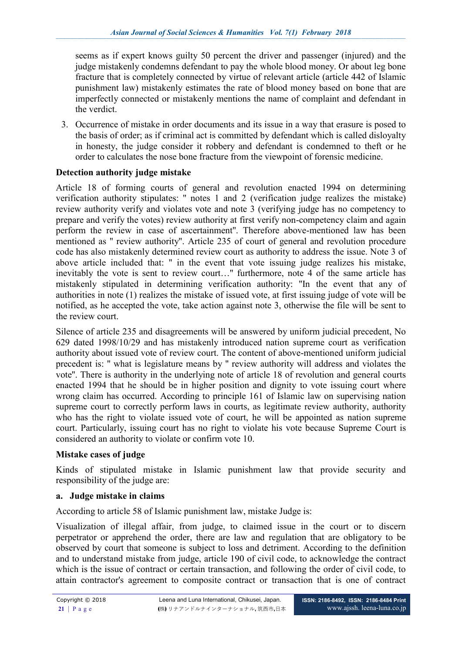seems as if expert knows guilty 50 percent the driver and passenger (injured) and the judge mistakenly condemns defendant to pay the whole blood money. Or about leg bone fracture that is completely connected by virtue of relevant article (article 442 of Islamic punishment law) mistakenly estimates the rate of blood money based on bone that are imperfectly connected or mistakenly mentions the name of complaint and defendant in the verdict.

3. Occurrence of mistake in order documents and its issue in a way that erasure is posed to the basis of order; as if criminal act is committed by defendant which is called disloyalty in honesty, the judge consider it robbery and defendant is condemned to theft or he order to calculates the nose bone fracture from the viewpoint of forensic medicine.

# **Detection authority judge mistake**

Article 18 of forming courts of general and revolution enacted 1994 on determining verification authority stipulates: '' notes 1 and 2 (verification judge realizes the mistake) review authority verify and violates vote and note 3 (verifying judge has no competency to prepare and verify the votes) review authority at first verify non-competency claim and again perform the review in case of ascertainment''. Therefore above-mentioned law has been mentioned as '' review authority''. Article 235 of court of general and revolution procedure code has also mistakenly determined review court as authority to address the issue. Note 3 of above article included that: '' in the event that vote issuing judge realizes his mistake, inevitably the vote is sent to review court…'' furthermore, note 4 of the same article has mistakenly stipulated in determining verification authority: ''In the event that any of authorities in note (1) realizes the mistake of issued vote, at first issuing judge of vote will be notified, as he accepted the vote, take action against note 3, otherwise the file will be sent to the review court.

Silence of article 235 and disagreements will be answered by uniform judicial precedent, No 629 dated 1998/10/29 and has mistakenly introduced nation supreme court as verification authority about issued vote of review court. The content of above-mentioned uniform judicial precedent is: '' what is legislature means by '' review authority will address and violates the vote''. There is authority in the underlying note of article 18 of revolution and general courts enacted 1994 that he should be in higher position and dignity to vote issuing court where wrong claim has occurred. According to principle 161 of Islamic law on supervising nation supreme court to correctly perform laws in courts, as legitimate review authority, authority who has the right to violate issued vote of court, he will be appointed as nation supreme court. Particularly, issuing court has no right to violate his vote because Supreme Court is considered an authority to violate or confirm vote 10.

# **Mistake cases of judge**

Kinds of stipulated mistake in Islamic punishment law that provide security and responsibility of the judge are:

# **a. Judge mistake in claims**

According to article 58 of Islamic punishment law, mistake Judge is:

Visualization of illegal affair, from judge, to claimed issue in the court or to discern perpetrator or apprehend the order, there are law and regulation that are obligatory to be observed by court that someone is subject to loss and detriment. According to the definition and to understand mistake from judge, article 190 of civil code, to acknowledge the contract which is the issue of contract or certain transaction, and following the order of civil code, to attain contractor's agreement to composite contract or transaction that is one of contract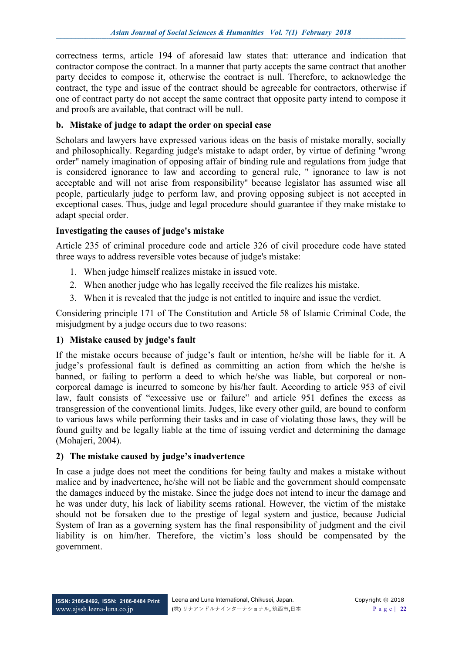correctness terms, article 194 of aforesaid law states that: utterance and indication that contractor compose the contract. In a manner that party accepts the same contract that another party decides to compose it, otherwise the contract is null. Therefore, to acknowledge the contract, the type and issue of the contract should be agreeable for contractors, otherwise if one of contract party do not accept the same contract that opposite party intend to compose it and proofs are available, that contract will be null.

## **b. Mistake of judge to adapt the order on special case**

Scholars and lawyers have expressed various ideas on the basis of mistake morally, socially and philosophically. Regarding judge's mistake to adapt order, by virtue of defining ''wrong order'' namely imagination of opposing affair of binding rule and regulations from judge that is considered ignorance to law and according to general rule, '' ignorance to law is not acceptable and will not arise from responsibility'' because legislator has assumed wise all people, particularly judge to perform law, and proving opposing subject is not accepted in exceptional cases. Thus, judge and legal procedure should guarantee if they make mistake to adapt special order.

## **Investigating the causes of judge's mistake**

Article 235 of criminal procedure code and article 326 of civil procedure code have stated three ways to address reversible votes because of judge's mistake:

- 1. When judge himself realizes mistake in issued vote.
- 2. When another judge who has legally received the file realizes his mistake.
- 3. When it is revealed that the judge is not entitled to inquire and issue the verdict.

Considering principle 171 of The Constitution and Article 58 of Islamic Criminal Code, the misjudgment by a judge occurs due to two reasons:

# **1) Mistake caused by judge's fault**

If the mistake occurs because of judge's fault or intention, he/she will be liable for it. A judge's professional fault is defined as committing an action from which the he/she is banned, or failing to perform a deed to which he/she was liable, but corporeal or noncorporeal damage is incurred to someone by his/her fault. According to article 953 of civil law, fault consists of "excessive use or failure" and article 951 defines the excess as transgression of the conventional limits. Judges, like every other guild, are bound to conform to various laws while performing their tasks and in case of violating those laws, they will be found guilty and be legally liable at the time of issuing verdict and determining the damage (Mohajeri, 2004).

### **2) The mistake caused by judge's inadvertence**

In case a judge does not meet the conditions for being faulty and makes a mistake without malice and by inadvertence, he/she will not be liable and the government should compensate the damages induced by the mistake. Since the judge does not intend to incur the damage and he was under duty, his lack of liability seems rational. However, the victim of the mistake should not be forsaken due to the prestige of legal system and justice, because Judicial System of Iran as a governing system has the final responsibility of judgment and the civil liability is on him/her. Therefore, the victim's loss should be compensated by the government.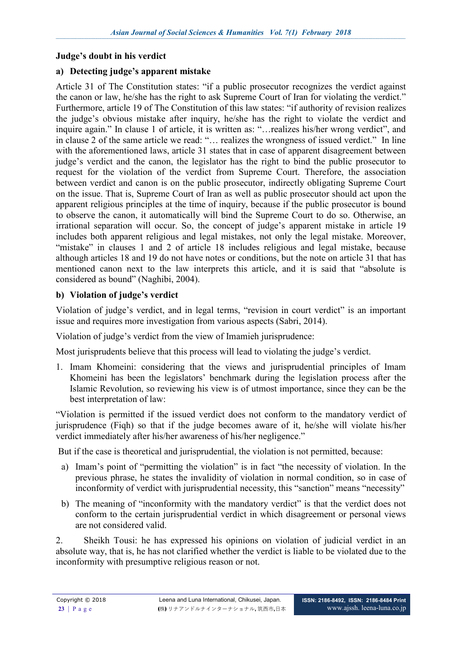## **Judge's doubt in his verdict**

### **a) Detecting judge's apparent mistake**

Article 31 of The Constitution states: "if a public prosecutor recognizes the verdict against the canon or law, he/she has the right to ask Supreme Court of Iran for violating the verdict." Furthermore, article 19 of The Constitution of this law states: "if authority of revision realizes the judge's obvious mistake after inquiry, he/she has the right to violate the verdict and inquire again." In clause 1 of article, it is written as: "…realizes his/her wrong verdict", and in clause 2 of the same article we read: "… realizes the wrongness of issued verdict." In line with the aforementioned laws, article 31 states that in case of apparent disagreement between judge's verdict and the canon, the legislator has the right to bind the public prosecutor to request for the violation of the verdict from Supreme Court. Therefore, the association between verdict and canon is on the public prosecutor, indirectly obligating Supreme Court on the issue. That is, Supreme Court of Iran as well as public prosecutor should act upon the apparent religious principles at the time of inquiry, because if the public prosecutor is bound to observe the canon, it automatically will bind the Supreme Court to do so. Otherwise, an irrational separation will occur. So, the concept of judge's apparent mistake in article 19 includes both apparent religious and legal mistakes, not only the legal mistake. Moreover, "mistake" in clauses 1 and 2 of article 18 includes religious and legal mistake, because although articles 18 and 19 do not have notes or conditions, but the note on article 31 that has mentioned canon next to the law interprets this article, and it is said that "absolute is considered as bound" (Naghibi, 2004).

# **b) Violation of judge's verdict**

Violation of judge's verdict, and in legal terms, "revision in court verdict" is an important issue and requires more investigation from various aspects (Sabri, 2014).

Violation of judge's verdict from the view of Imamieh jurisprudence:

Most jurisprudents believe that this process will lead to violating the judge's verdict.

1. Imam Khomeini: considering that the views and jurisprudential principles of Imam Khomeini has been the legislators' benchmark during the legislation process after the Islamic Revolution, so reviewing his view is of utmost importance, since they can be the best interpretation of law:

"Violation is permitted if the issued verdict does not conform to the mandatory verdict of jurisprudence (Fiqh) so that if the judge becomes aware of it, he/she will violate his/her verdict immediately after his/her awareness of his/her negligence."

But if the case is theoretical and jurisprudential, the violation is not permitted, because:

- a) Imam's point of "permitting the violation" is in fact "the necessity of violation. In the previous phrase, he states the invalidity of violation in normal condition, so in case of inconformity of verdict with jurisprudential necessity, this "sanction" means "necessity"
- b) The meaning of "inconformity with the mandatory verdict" is that the verdict does not conform to the certain jurisprudential verdict in which disagreement or personal views are not considered valid.

2. Sheikh Tousi: he has expressed his opinions on violation of judicial verdict in an absolute way, that is, he has not clarified whether the verdict is liable to be violated due to the inconformity with presumptive religious reason or not.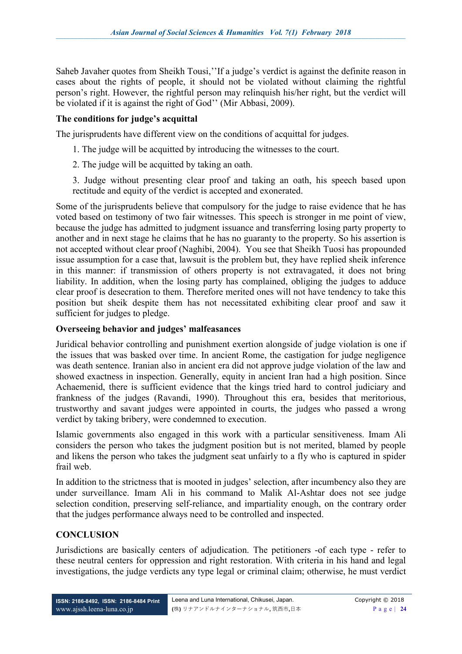Saheb Javaher quotes from Sheikh Tousi,''If a judge's verdict is against the definite reason in cases about the rights of people, it should not be violated without claiming the rightful person's right. However, the rightful person may relinquish his/her right, but the verdict will be violated if it is against the right of God'' (Mir Abbasi, 2009).

## **The conditions for judge's acquittal**

The jurisprudents have different view on the conditions of acquittal for judges.

- 1. The judge will be acquitted by introducing the witnesses to the court.
- 2. The judge will be acquitted by taking an oath.
- 3. Judge without presenting clear proof and taking an oath, his speech based upon rectitude and equity of the verdict is accepted and exonerated.

Some of the jurisprudents believe that compulsory for the judge to raise evidence that he has voted based on testimony of two fair witnesses. This speech is stronger in me point of view, because the judge has admitted to judgment issuance and transferring losing party property to another and in next stage he claims that he has no guaranty to the property. So his assertion is not accepted without clear proof (Naghibi, 2004). You see that Sheikh Tuosi has propounded issue assumption for a case that, lawsuit is the problem but, they have replied sheik inference in this manner: if transmission of others property is not extravagated, it does not bring liability. In addition, when the losing party has complained, obliging the judges to adduce clear proof is desecration to them. Therefore merited ones will not have tendency to take this position but sheik despite them has not necessitated exhibiting clear proof and saw it sufficient for judges to pledge.

### **Overseeing behavior and judges' malfeasances**

Juridical behavior controlling and punishment exertion alongside of judge violation is one if the issues that was basked over time. In ancient Rome, the castigation for judge negligence was death sentence. Iranian also in ancient era did not approve judge violation of the law and showed exactness in inspection. Generally, equity in ancient Iran had a high position. Since Achaemenid, there is sufficient evidence that the kings tried hard to control judiciary and frankness of the judges (Ravandi, 1990). Throughout this era, besides that meritorious, trustworthy and savant judges were appointed in courts, the judges who passed a wrong verdict by taking bribery, were condemned to execution.

Islamic governments also engaged in this work with a particular sensitiveness. Imam Ali considers the person who takes the judgment position but is not merited, blamed by people and likens the person who takes the judgment seat unfairly to a fly who is captured in spider frail web.

In addition to the strictness that is mooted in judges' selection, after incumbency also they are under surveillance. Imam Ali in his command to Malik Al-Ashtar does not see judge selection condition, preserving self-reliance, and impartiality enough, on the contrary order that the judges performance always need to be controlled and inspected.

### **CONCLUSION**

Jurisdictions are basically centers of adjudication. The petitioners -of each type - refer to these neutral centers for oppression and right restoration. With criteria in his hand and legal investigations, the judge verdicts any type legal or criminal claim; otherwise, he must verdict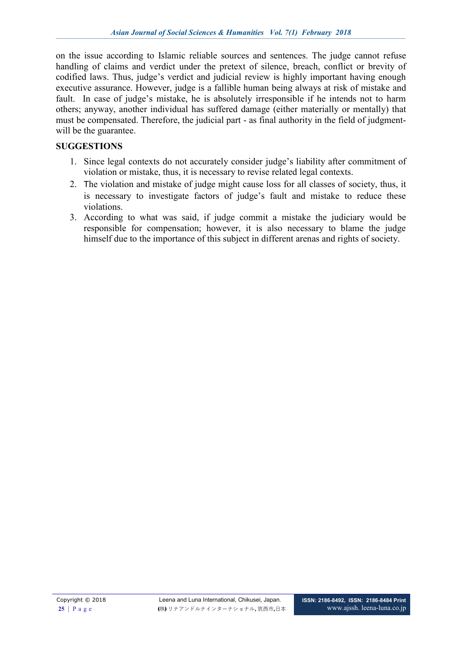on the issue according to Islamic reliable sources and sentences. The judge cannot refuse handling of claims and verdict under the pretext of silence, breach, conflict or brevity of codified laws. Thus, judge's verdict and judicial review is highly important having enough executive assurance. However, judge is a fallible human being always at risk of mistake and fault. In case of judge's mistake, he is absolutely irresponsible if he intends not to harm others; anyway, another individual has suffered damage (either materially or mentally) that must be compensated. Therefore, the judicial part - as final authority in the field of judgmentwill be the guarantee.

# **SUGGESTIONS**

- 1. Since legal contexts do not accurately consider judge's liability after commitment of violation or mistake, thus, it is necessary to revise related legal contexts.
- 2. The violation and mistake of judge might cause loss for all classes of society, thus, it is necessary to investigate factors of judge's fault and mistake to reduce these violations.
- 3. According to what was said, if judge commit a mistake the judiciary would be responsible for compensation; however, it is also necessary to blame the judge himself due to the importance of this subject in different arenas and rights of society.